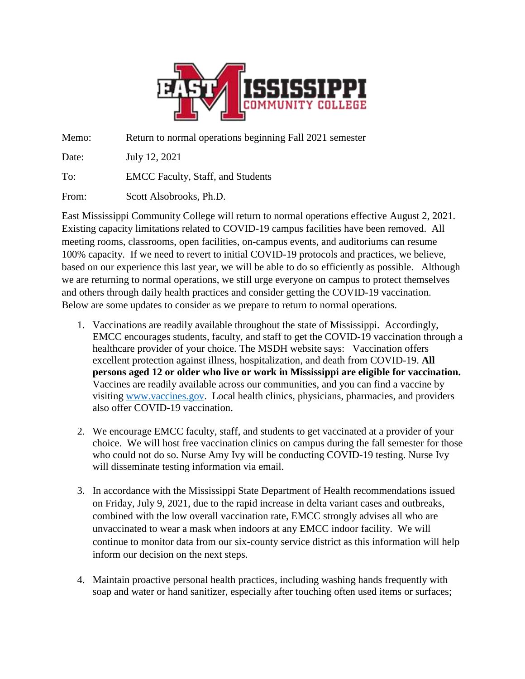

Memo: Return to normal operations beginning Fall 2021 semester

Date: July 12, 2021

To: EMCC Faculty, Staff, and Students

From: Scott Alsobrooks, Ph.D.

East Mississippi Community College will return to normal operations effective August 2, 2021. Existing capacity limitations related to COVID-19 campus facilities have been removed. All meeting rooms, classrooms, open facilities, on-campus events, and auditoriums can resume 100% capacity. If we need to revert to initial COVID-19 protocols and practices, we believe, based on our experience this last year, we will be able to do so efficiently as possible. Although we are returning to normal operations, we still urge everyone on campus to protect themselves and others through daily health practices and consider getting the COVID-19 vaccination. Below are some updates to consider as we prepare to return to normal operations.

- 1. Vaccinations are readily available throughout the state of Mississippi. Accordingly, EMCC encourages students, faculty, and staff to get the COVID-19 vaccination through a healthcare provider of your choice. The MSDH website says: Vaccination offers excellent protection against illness, hospitalization, and death from COVID-19. **All persons aged 12 or older who live or work in Mississippi are eligible for vaccination.** Vaccines are readily available across our communities, and you can find a vaccine by visiting [www.vaccines.gov.](http://www.vaccines.gov/) Local health clinics, physicians, pharmacies, and providers also offer COVID-19 vaccination.
- 2. We encourage EMCC faculty, staff, and students to get vaccinated at a provider of your choice. We will host free vaccination clinics on campus during the fall semester for those who could not do so. Nurse Amy Ivy will be conducting COVID-19 testing. Nurse Ivy will disseminate testing information via email.
- 3. In accordance with the Mississippi State Department of Health recommendations issued on Friday, July 9, 2021, due to the rapid increase in delta variant cases and outbreaks, combined with the low overall vaccination rate, EMCC strongly advises all who are unvaccinated to wear a mask when indoors at any EMCC indoor facility. We will continue to monitor data from our six-county service district as this information will help inform our decision on the next steps.
- 4. Maintain proactive personal health practices, including washing hands frequently with soap and water or hand sanitizer, especially after touching often used items or surfaces;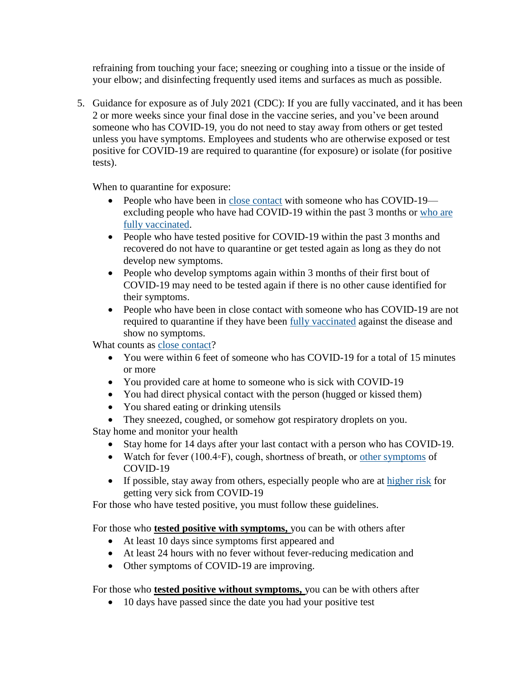refraining from touching your face; sneezing or coughing into a tissue or the inside of your elbow; and disinfecting frequently used items and surfaces as much as possible.

5. Guidance for exposure as of July 2021 (CDC): If you are fully vaccinated, and it has been 2 or more weeks since your final dose in the vaccine series, and you've been around someone who has COVID-19, you do not need to stay away from others or get tested unless you have symptoms. Employees and students who are otherwise exposed or test positive for COVID-19 are required to quarantine (for exposure) or isolate (for positive tests).

When to quarantine for exposure:

- People who have been in [close contact](https://www.cdc.gov/coronavirus/2019-ncov/php/contact-tracing/contact-tracing-plan/appendix.html#contact) with someone who has COVID-19 excluding people who have had COVID-19 within the past 3 months or [who are](https://www.cdc.gov/coronavirus/2019-ncov/vaccines/fully-vaccinated.html)  [fully vaccinated.](https://www.cdc.gov/coronavirus/2019-ncov/vaccines/fully-vaccinated.html)
- People who have tested positive for COVID-19 within the past 3 months and recovered do not have to quarantine or get tested again as long as they do not develop new symptoms.
- People who develop symptoms again within 3 months of their first bout of COVID-19 may need to be tested again if there is no other cause identified for their symptoms.
- People who have been in close contact with someone who has COVID-19 are not required to quarantine if they have been [fully vaccinated](https://www.cdc.gov/coronavirus/2019-ncov/vaccines/fully-vaccinated.html) against the disease and show no symptoms.

What counts as [close contact?](https://www.cdc.gov/coronavirus/2019-ncov/php/contact-tracing/contact-tracing-plan/appendix.html#contact)

- You were within 6 feet of someone who has COVID-19 for a total of 15 minutes or more
- You provided care at home to someone who is sick with COVID-19
- You had direct physical contact with the person (hugged or kissed them)
- You shared eating or drinking utensils
- They sneezed, coughed, or somehow got respiratory droplets on you.

Stay home and monitor your health

- Stay home for 14 days after your last contact with a person who has COVID-19.
- Watch for fever (100.4◦F), cough, shortness of breath, or [other symptoms](https://www.cdc.gov/coronavirus/2019-ncov/symptoms-testing/symptoms.html) of COVID-19
- If possible, stay away from others, especially people who are at [higher risk](https://www.cdc.gov/coronavirus/2019-ncov/need-extra-precautions/people-at-higher-risk.html) for getting very sick from COVID-19

For those who have tested positive, you must follow these guidelines.

For those who **tested positive with symptoms,** you can be with others after

- At least 10 days since symptoms first appeared and
- At least 24 hours with no fever without fever-reducing medication and
- Other symptoms of COVID-19 are improving.

For those who **tested positive without symptoms,** you can be with others after

• 10 days have passed since the date you had your positive test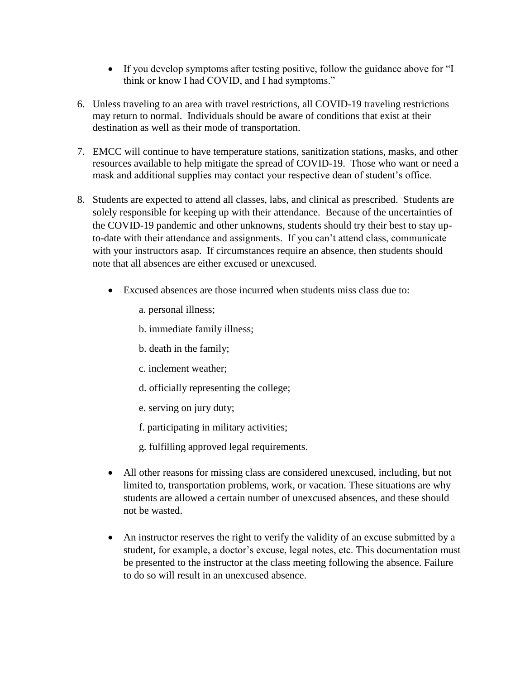- If you develop symptoms after testing positive, follow the guidance above for "I think or know I had COVID, and I had symptoms."
- 6. Unless traveling to an area with travel restrictions, all COVID-19 traveling restrictions may return to normal. Individuals should be aware of conditions that exist at their destination as well as their mode of transportation.
- 7. EMCC will continue to have temperature stations, sanitization stations, masks, and other resources available to help mitigate the spread of COVID-19. Those who want or need a mask and additional supplies may contact your respective dean of student's office.
- 8. Students are expected to attend all classes, labs, and clinical as prescribed. Students are solely responsible for keeping up with their attendance. Because of the uncertainties of the COVID-19 pandemic and other unknowns, students should try their best to stay upto-date with their attendance and assignments. If you can't attend class, communicate with your instructors asap. If circumstances require an absence, then students should note that all absences are either excused or unexcused.
	- Excused absences are those incurred when students miss class due to:
		- a. personal illness;
		- b. immediate family illness;
		- b. death in the family;
		- c. inclement weather;
		- d. officially representing the college;
		- e. serving on jury duty;
		- f. participating in military activities;
		- g. fulfilling approved legal requirements.
	- All other reasons for missing class are considered unexcused, including, but not limited to, transportation problems, work, or vacation. These situations are why students are allowed a certain number of unexcused absences, and these should not be wasted.
	- An instructor reserves the right to verify the validity of an excuse submitted by a student, for example, a doctor's excuse, legal notes, etc. This documentation must be presented to the instructor at the class meeting following the absence. Failure to do so will result in an unexcused absence.